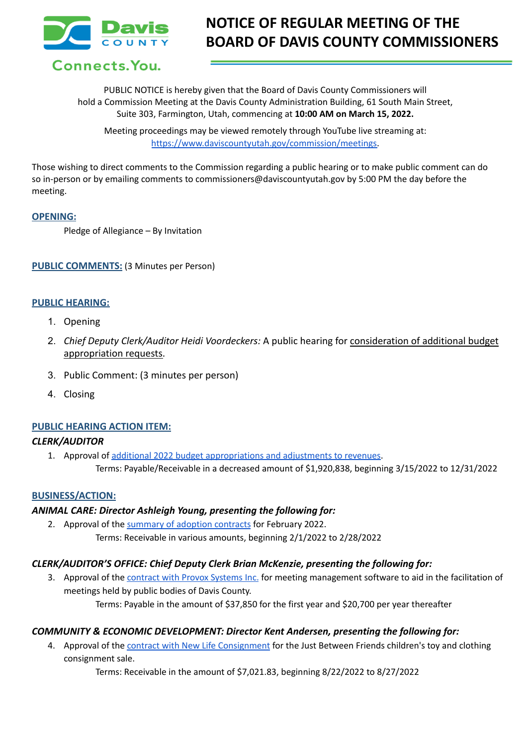

# **NOTICE OF REGULAR MEETING OF THE BOARD OF DAVIS COUNTY COMMISSIONERS**

Connects. You.

PUBLIC NOTICE is hereby given that the Board of Davis County Commissioners will hold a Commission Meeting at the Davis County Administration Building, 61 South Main Street, Suite 303, Farmington, Utah, commencing at **10:00 AM on March 15, 2022.**

Meeting proceedings may be viewed remotely through YouTube live streaming at: [https://www.daviscountyutah.gov/commission/meetings.](https://www.daviscountyutah.gov/commission/meetings)

Those wishing to direct comments to the Commission regarding a public hearing or to make public comment can do so in-person or by emailing comments to commissioners@daviscountyutah.gov by 5:00 PM the day before the meeting.

#### **OPENING:**

Pledge of Allegiance – By Invitation

**PUBLIC COMMENTS:** (3 Minutes per Person)

#### **PUBLIC HEARING:**

- 1. Opening
- 2. *Chief Deputy Clerk/Auditor Heidi Voordeckers:* A public hearing for consideration of additional budget appropriation requests.
- 3. Public Comment: (3 minutes per person)
- 4. Closing

## **PUBLIC HEARING ACTION ITEM:**

## *CLERK/AUDITOR*

1. Approval of additional 2022 budget [appropriations](https://drive.google.com/file/d/1GDU4V630HqKkhhN_DNIuKd722M7q1Bf9/view?usp=sharing) and adjustments to revenues. Terms: Payable/Receivable in a decreased amount of \$1,920,838, beginning 3/15/2022 to 12/31/2022

#### **BUSINESS/ACTION:**

#### *ANIMAL CARE: Director Ashleigh Young, presenting the following for:*

2. Approval of the [summary](https://drive.google.com/file/d/1KrTqKjpOmgcQN6njVNEWoz4r9GA2y-kR/view?usp=sharing) of adoption contracts for February 2022. Terms: Receivable in various amounts, beginning 2/1/2022 to 2/28/2022

## *CLERK/AUDITOR'S OFFICE: Chief Deputy Clerk Brian McKenzie, presenting the following for:*

3. Approval of the [contract](https://drive.google.com/file/d/104B0et3LJ8WqCTRMXWXQUIsvEjNPr2Gx/view?usp=sharing) with Provox Systems Inc. for meeting management software to aid in the facilitation of meetings held by public bodies of Davis County. Terms: Payable in the amount of \$37,850 for the first year and \$20,700 per year thereafter

## *COMMUNITY & ECONOMIC DEVELOPMENT: Director Kent Andersen, presenting the following for:*

4. Approval of the contract with New Life [Consignment](https://drive.google.com/file/d/1yW5gOVuwC7XGHX26xpOdNWo3z3YXVIi2/view?usp=sharing) for the Just Between Friends children's toy and clothing consignment sale.

Terms: Receivable in the amount of \$7,021.83, beginning 8/22/2022 to 8/27/2022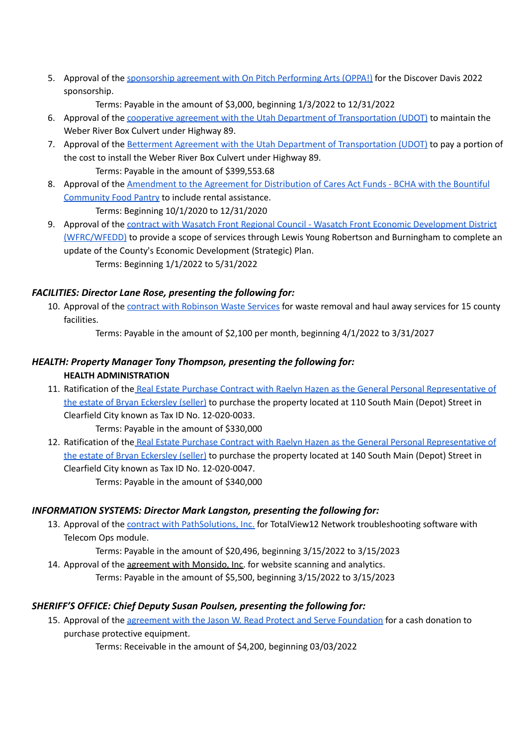5. Approval of the [sponsorship](https://drive.google.com/file/d/1rcgnHPImD4qMjDpGOT8FMbVahVu-ouz6/view?usp=sharing) agreement with On Pitch Performing Arts (OPPA!) for the Discover Davis 2022 sponsorship.

Terms: Payable in the amount of \$3,000, beginning 1/3/2022 to 12/31/2022

- 6. Approval of the cooperative agreement with the Utah Department of [Transportation](https://drive.google.com/file/d/16Hf3JiRJOzQtazhxwnHqJbsafEb3sacB/view?usp=sharing) (UDOT) to maintain the Weber River Box Culvert under Highway 89.
- 7. Approval of the Betterment Agreement with the Utah Department of [Transportation](https://drive.google.com/file/d/1SCD84XgzaYeE7Di3uqVAsbSKoamVJyeN/view?usp=sharing) (UDOT) to pay a portion of the cost to install the Weber River Box Culvert under Highway 89. Terms: Payable in the amount of \$399,553.68
- 8. Approval of the [Amendment](https://drive.google.com/file/d/1zMH15HyNDj46mo7NpSR2nMITD9j8TWDs/view?usp=sharing) to the Agreement for Distribution of Cares Act Funds BCHA with the Bountiful [Community](https://drive.google.com/file/d/1zMH15HyNDj46mo7NpSR2nMITD9j8TWDs/view?usp=sharing) Food Pantry to include rental assistance. Terms: Beginning 10/1/2020 to 12/31/2020
- 9. Approval of the contract with Wasatch Front Regional Council Wasatch Front Economic [Development](https://drive.google.com/file/d/19aV-Dhl6vMovQAdksfSRpuM9JSZURhEG/view?usp=sharing) District [\(WFRC/WFEDD\)](https://drive.google.com/file/d/19aV-Dhl6vMovQAdksfSRpuM9JSZURhEG/view?usp=sharing) to provide a scope of services through Lewis Young Robertson and Burningham to complete an update of the County's Economic Development (Strategic) Plan. Terms: Beginning 1/1/2022 to 5/31/2022

## *FACILITIES: Director Lane Rose, presenting the following for:*

10. Approval of the contract with [Robinson](https://drive.google.com/file/d/1RMmSzg43c0YWYdv_iHaRTCQzlRwMkjZR/view?usp=sharing) Waste Services for waste removal and haul away services for 15 county facilities.

Terms: Payable in the amount of \$2,100 per month, beginning 4/1/2022 to 3/31/2027

## *HEALTH: Property Manager Tony Thompson, presenting the following for:* **HEALTH ADMINISTRATION**

11. Ratification of the Real Estate Purchase Contract with Raelyn Hazen as the General Personal [Representative](https://drive.google.com/file/d/1P239Gh2wYLd_AtiMq6xkCoHvS2PZwiVk/view?usp=sharing) of the estate of Bryan [Eckersley](https://drive.google.com/file/d/1P239Gh2wYLd_AtiMq6xkCoHvS2PZwiVk/view?usp=sharing) (seller) to purchase the property located at 110 South Main (Depot) Street in Clearfield City known as Tax ID No. 12-020-0033.

Terms: Payable in the amount of \$330,000

12. Ratification of the Real Estate Purchase Contract with Raelyn Hazen as the General Personal [Representative](https://drive.google.com/file/d/1Ww1j1TLgFpDmdqnXI2AmDJTEbxjhTv94/view?usp=sharing) of the estate of Bryan [Eckersley](https://drive.google.com/file/d/1Ww1j1TLgFpDmdqnXI2AmDJTEbxjhTv94/view?usp=sharing) (seller) to purchase the property located at 140 South Main (Depot) Street in Clearfield City known as Tax ID No. 12-020-0047. Terms: Payable in the amount of \$340,000

## *INFORMATION SYSTEMS: Director Mark Langston, presenting the following for:*

13. Approval of the contract with [PathSolutions,](https://drive.google.com/file/d/1P30VVSsIltKt4zJ0WJoSbQQ_WrfvIv9_/view?usp=sharing) Inc. for TotalView12 Network troubleshooting software with Telecom Ops module.

Terms: Payable in the amount of \$20,496, beginning 3/15/2022 to 3/15/2023

14. Approval of the agreement with Monsido, Inc. for website scanning and analytics. Terms: Payable in the amount of \$5,500, beginning 3/15/2022 to 3/15/2023

## *SHERIFF'S OFFICE: Chief Deputy Susan Poulsen, presenting the following for:*

15. Approval of the agreement with the Jason W. Read Protect and Serve [Foundation](https://drive.google.com/file/d/1jpbOxBFPI2buj0S3ljalNYnsKROg90in/view?usp=sharing) for a cash donation to purchase protective equipment.

Terms: Receivable in the amount of \$4,200, beginning 03/03/2022